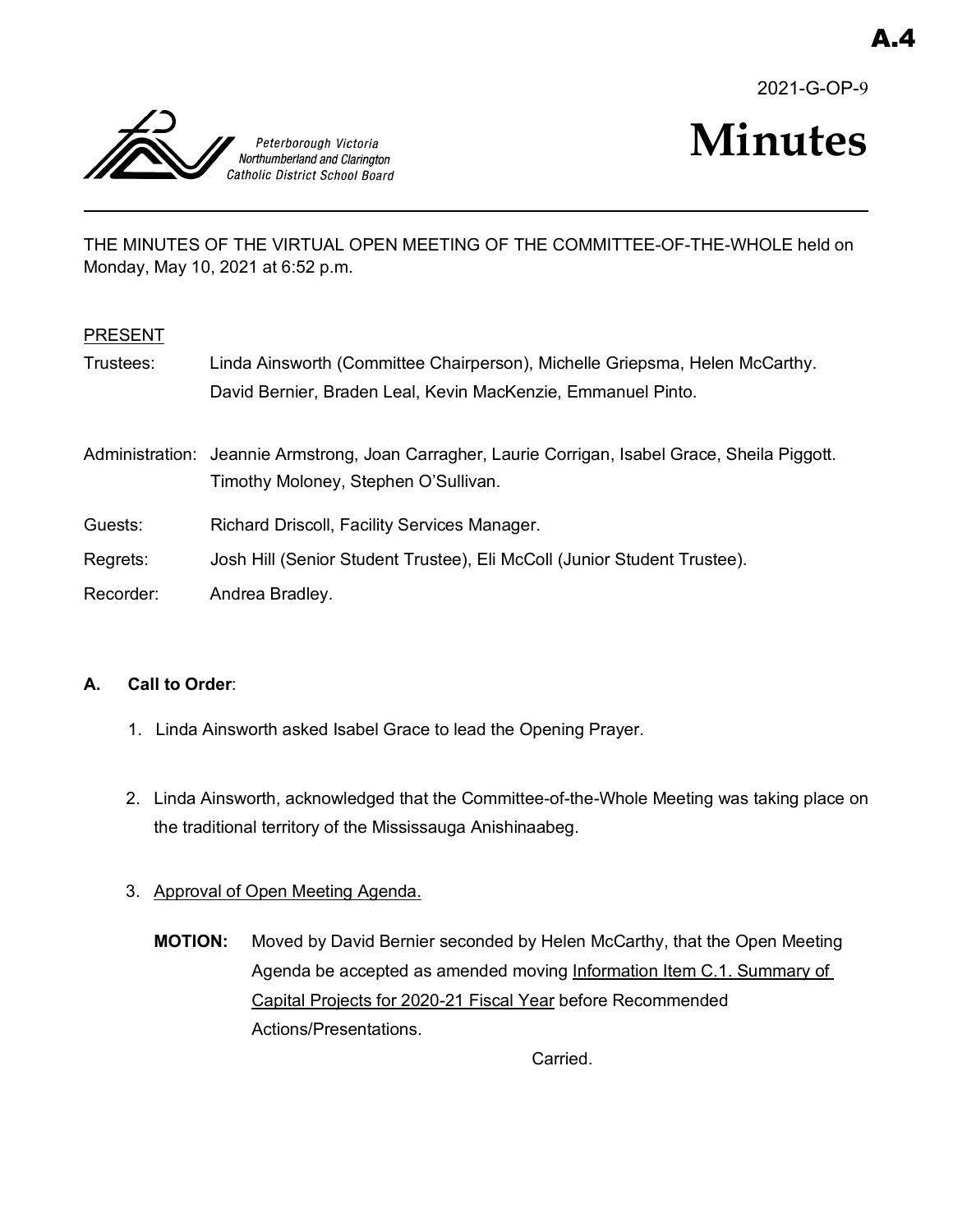2021-G-OP-9



# **Minutes**

THE MINUTES OF THE VIRTUAL OPEN MEETING OF THE COMMITTEE-OF-THE-WHOLE held on Monday, May 10, 2021 at 6:52 p.m.

#### PRESENT

Trustees: Linda Ainsworth (Committee Chairperson), Michelle Griepsma, Helen McCarthy. David Bernier, Braden Leal, Kevin MacKenzie, Emmanuel Pinto.

Administration: Jeannie Armstrong, Joan Carragher, Laurie Corrigan, Isabel Grace, Sheila Piggott. Timothy Moloney, Stephen O'Sullivan.

- Guests: Richard Driscoll, Facility Services Manager.
- Regrets: Josh Hill (Senior Student Trustee), Eli McColl (Junior Student Trustee).
- Recorder: Andrea Bradley.

#### **A. Call to Order**:

- 1. Linda Ainsworth asked Isabel Grace to lead the Opening Prayer.
- 2. Linda Ainsworth, acknowledged that the Committee-of-the-Whole Meeting was taking place on the traditional territory of the Mississauga Anishinaabeg.

## 3. Approval of Open Meeting Agenda.

**MOTION:** Moved by David Bernier seconded by Helen McCarthy, that the Open Meeting Agenda be accepted as amended moving Information Item C.1. Summary of Capital Projects for 2020-21 Fiscal Year before Recommended Actions/Presentations.

Carried.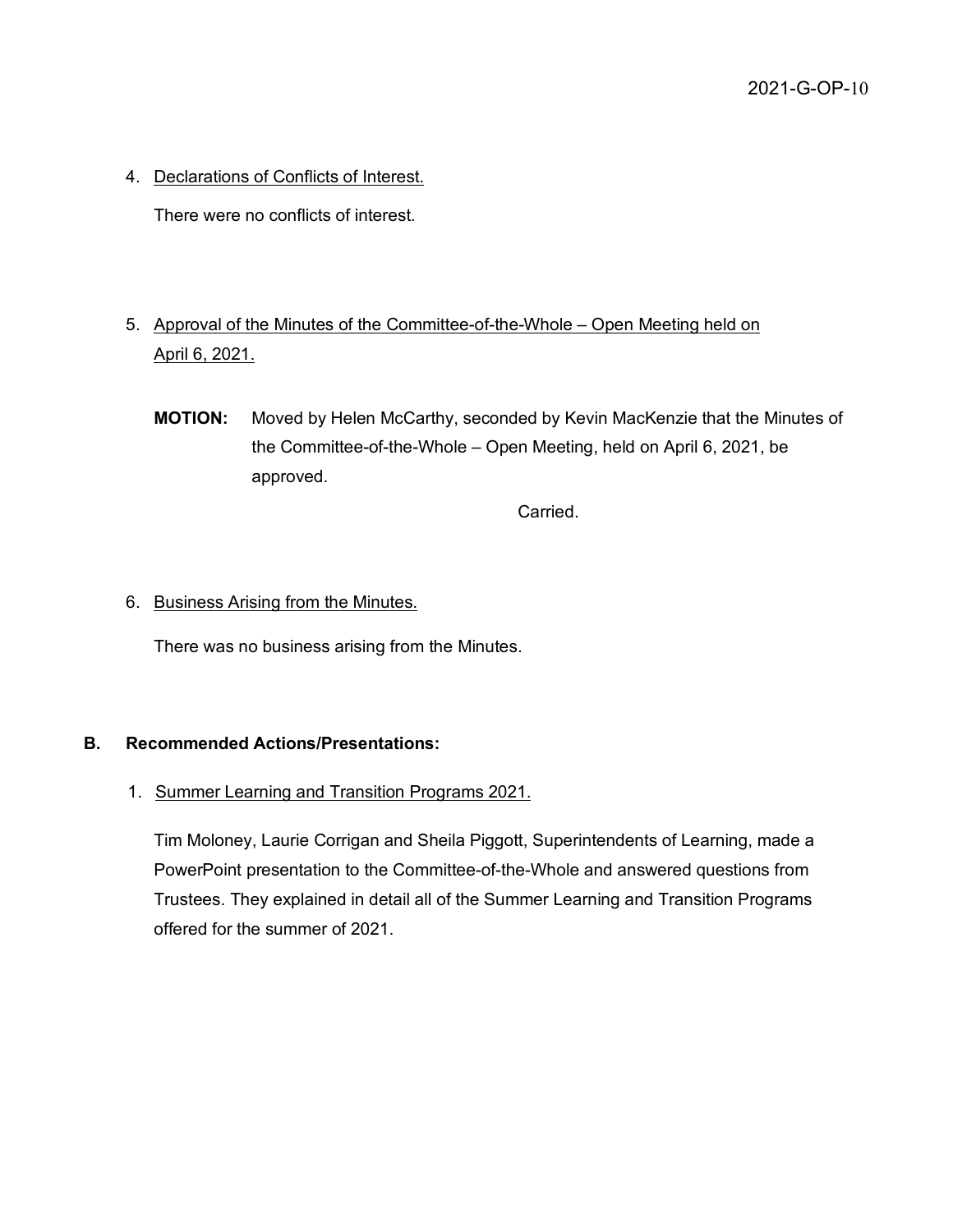4. Declarations of Conflicts of Interest.

There were no conflicts of interest.

- 5. Approval of the Minutes of the Committee-of-the-Whole Open Meeting held on April 6, 2021.
	- **MOTION:** Moved by Helen McCarthy, seconded by Kevin MacKenzie that the Minutes of the Committee-of-the-Whole – Open Meeting, held on April 6, 2021, be approved.

Carried.

#### 6. Business Arising from the Minutes.

There was no business arising from the Minutes.

#### **B. Recommended Actions/Presentations:**

#### 1. Summer Learning and Transition Programs 2021.

Tim Moloney, Laurie Corrigan and Sheila Piggott, Superintendents of Learning, made a PowerPoint presentation to the Committee-of-the-Whole and answered questions from Trustees. They explained in detail all of the Summer Learning and Transition Programs offered for the summer of 2021.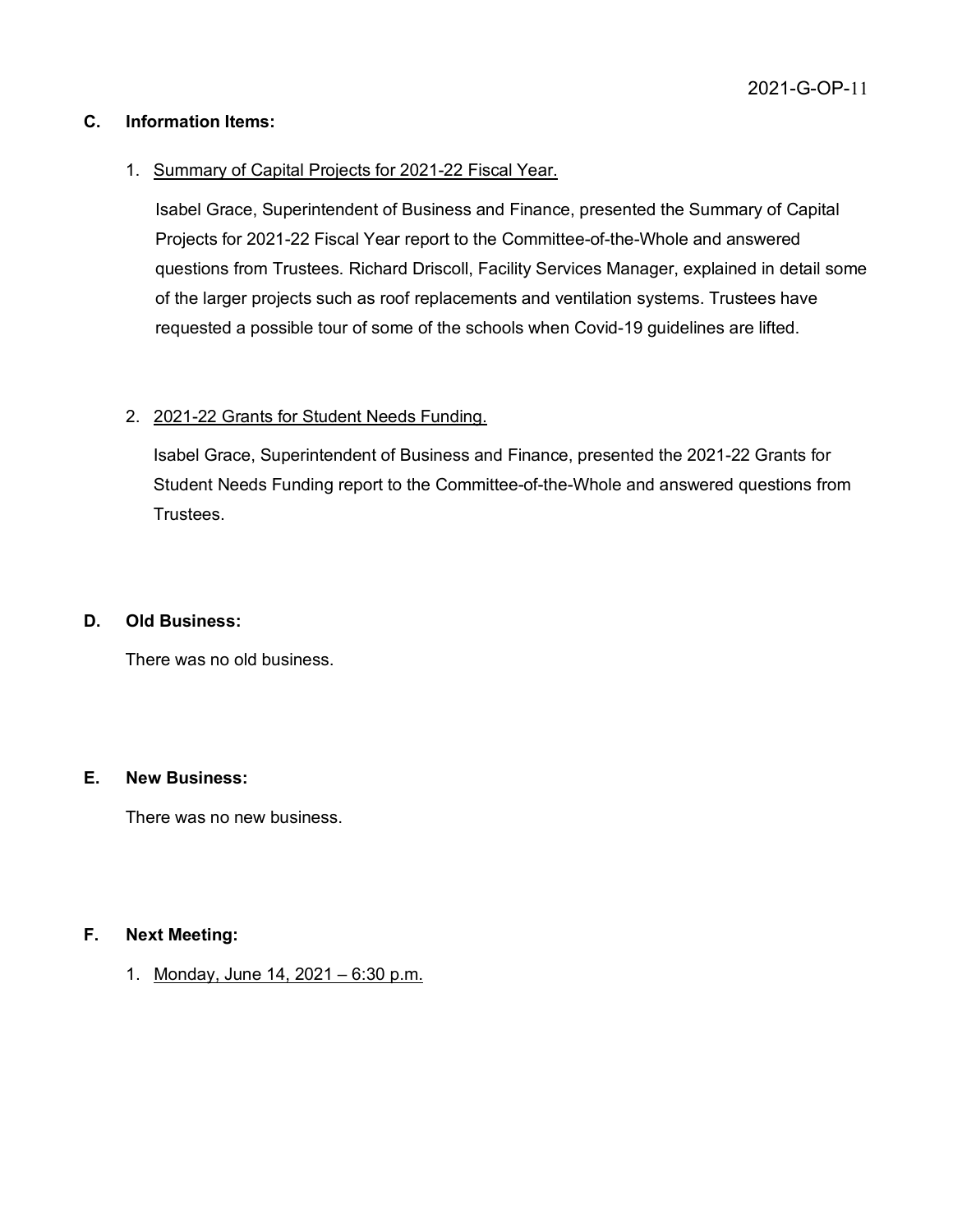#### **C. Information Items:**

#### 1. Summary of Capital Projects for 2021-22 Fiscal Year.

Isabel Grace, Superintendent of Business and Finance, presented the Summary of Capital Projects for 2021-22 Fiscal Year report to the Committee-of-the-Whole and answered questions from Trustees. Richard Driscoll, Facility Services Manager, explained in detail some of the larger projects such as roof replacements and ventilation systems. Trustees have requested a possible tour of some of the schools when Covid-19 guidelines are lifted.

#### 2. 2021-22 Grants for Student Needs Funding.

Isabel Grace, Superintendent of Business and Finance, presented the 2021-22 Grants for Student Needs Funding report to the Committee-of-the-Whole and answered questions from Trustees.

#### **D. Old Business:**

There was no old business.

#### **E. New Business:**

There was no new business.

### **F. Next Meeting:**

1. Monday, June 14, 2021 – 6:30 p.m.